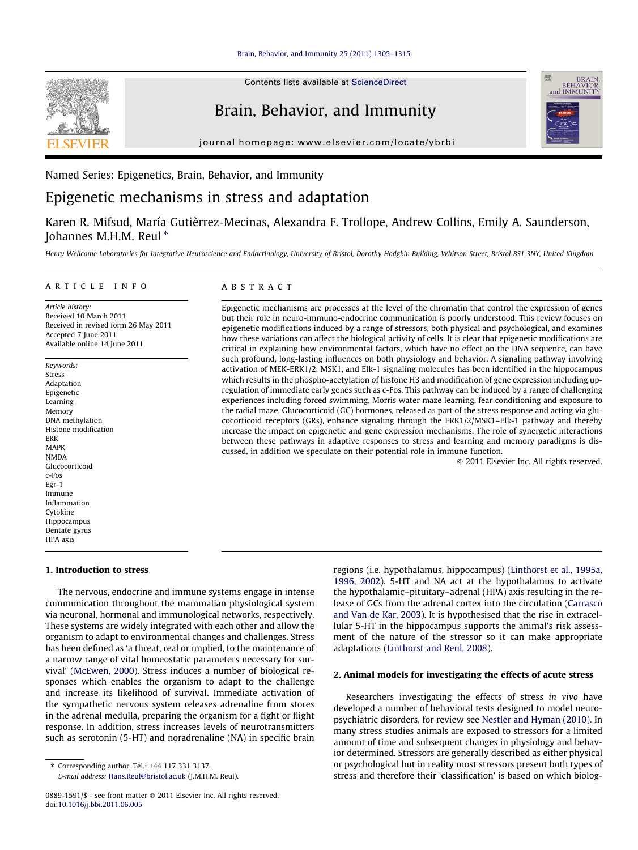

Contents lists available at [ScienceDirect](http://www.sciencedirect.com/science/journal/08891591)

# Brain, Behavior, and Immunity

journal homepage: [www.elsevier.com/locate/ybrbi](http://www.elsevier.com/locate/ybrbi)



# Named Series: Epigenetics, Brain, Behavior, and Immunity

# Epigenetic mechanisms in stress and adaptation

Karen R. Mifsud, María Gutièrrez-Mecinas, Alexandra F. Trollope, Andrew Collins, Emily A. Saunderson, Johannes M.H.M. Reul  $*$ 

Henry Wellcome Laboratories for Integrative Neuroscience and Endocrinology, University of Bristol, Dorothy Hodgkin Building, Whitson Street, Bristol BS1 3NY, United Kingdom

#### article info

Article history: Received 10 March 2011 Received in revised form 26 May 2011 Accepted 7 June 2011 Available online 14 June 2011

Keywords: Stress Adaptation Epigenetic Learning Memory DNA methylation Histone modification ERK MAPK NMDA Glucocorticoid c-Fos Egr-1 Immune Inflammation Cytokine Hippocampus Dentate gyrus HPA axis

# **ABSTRACT**

Epigenetic mechanisms are processes at the level of the chromatin that control the expression of genes but their role in neuro-immuno-endocrine communication is poorly understood. This review focuses on epigenetic modifications induced by a range of stressors, both physical and psychological, and examines how these variations can affect the biological activity of cells. It is clear that epigenetic modifications are critical in explaining how environmental factors, which have no effect on the DNA sequence, can have such profound, long-lasting influences on both physiology and behavior. A signaling pathway involving activation of MEK-ERK1/2, MSK1, and Elk-1 signaling molecules has been identified in the hippocampus which results in the phospho-acetylation of histone H3 and modification of gene expression including upregulation of immediate early genes such as c-Fos. This pathway can be induced by a range of challenging experiences including forced swimming, Morris water maze learning, fear conditioning and exposure to the radial maze. Glucocorticoid (GC) hormones, released as part of the stress response and acting via glucocorticoid receptors (GRs), enhance signaling through the ERK1/2/MSK1–Elk-1 pathway and thereby increase the impact on epigenetic and gene expression mechanisms. The role of synergetic interactions between these pathways in adaptive responses to stress and learning and memory paradigms is discussed, in addition we speculate on their potential role in immune function.

- 2011 Elsevier Inc. All rights reserved.

## 1. Introduction to stress

The nervous, endocrine and immune systems engage in intense communication throughout the mammalian physiological system via neuronal, hormonal and immunological networks, respectively. These systems are widely integrated with each other and allow the organism to adapt to environmental changes and challenges. Stress has been defined as 'a threat, real or implied, to the maintenance of a narrow range of vital homeostatic parameters necessary for survival' ([McEwen, 2000](#page-9-0)). Stress induces a number of biological responses which enables the organism to adapt to the challenge and increase its likelihood of survival. Immediate activation of the sympathetic nervous system releases adrenaline from stores in the adrenal medulla, preparing the organism for a fight or flight response. In addition, stress increases levels of neurotransmitters such as serotonin (5-HT) and noradrenaline (NA) in specific brain

⇑ Corresponding author. Tel.: +44 117 331 3137.

E-mail address: [Hans.Reul@bristol.ac.uk](mailto:Hans.Reul@bristol.ac.uk) (J.M.H.M. Reul).

regions (i.e. hypothalamus, hippocampus) ([Linthorst et al., 1995a,](#page-9-0) [1996, 2002](#page-9-0)). 5-HT and NA act at the hypothalamus to activate the hypothalamic–pituitary–adrenal (HPA) axis resulting in the release of GCs from the adrenal cortex into the circulation [\(Carrasco](#page-8-0) [and Van de Kar, 2003](#page-8-0)). It is hypothesised that the rise in extracellular 5-HT in the hippocampus supports the animal's risk assessment of the nature of the stressor so it can make appropriate adaptations [\(Linthorst and Reul, 2008](#page-9-0)).

## 2. Animal models for investigating the effects of acute stress

Researchers investigating the effects of stress in vivo have developed a number of behavioral tests designed to model neuropsychiatric disorders, for review see [Nestler and Hyman \(2010\).](#page-9-0) In many stress studies animals are exposed to stressors for a limited amount of time and subsequent changes in physiology and behavior determined. Stressors are generally described as either physical or psychological but in reality most stressors present both types of stress and therefore their 'classification' is based on which biolog-

<sup>0889-1591/\$ -</sup> see front matter © 2011 Elsevier Inc. All rights reserved. doi[:10.1016/j.bbi.2011.06.005](http://dx.doi.org/10.1016/j.bbi.2011.06.005)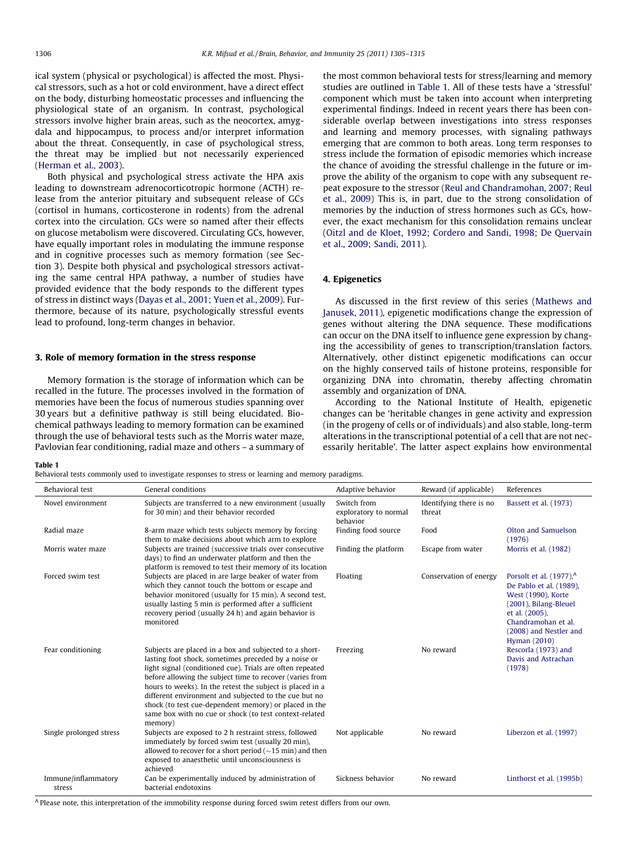<span id="page-1-0"></span>ical system (physical or psychological) is affected the most. Physical stressors, such as a hot or cold environment, have a direct effect on the body, disturbing homeostatic processes and influencing the physiological state of an organism. In contrast, psychological stressors involve higher brain areas, such as the neocortex, amygdala and hippocampus, to process and/or interpret information about the threat. Consequently, in case of psychological stress, the threat may be implied but not necessarily experienced ([Herman et al., 2003\)](#page-8-0).

Both physical and psychological stress activate the HPA axis leading to downstream adrenocorticotropic hormone (ACTH) release from the anterior pituitary and subsequent release of GCs (cortisol in humans, corticosterone in rodents) from the adrenal cortex into the circulation. GCs were so named after their effects on glucose metabolism were discovered. Circulating GCs, however, have equally important roles in modulating the immune response and in cognitive processes such as memory formation (see Section 3). Despite both physical and psychological stressors activating the same central HPA pathway, a number of studies have provided evidence that the body responds to the different types of stress in distinct ways ([Dayas et al., 2001; Yuen et al., 2009](#page-8-0)). Furthermore, because of its nature, psychologically stressful events lead to profound, long-term changes in behavior.

## 3. Role of memory formation in the stress response

Memory formation is the storage of information which can be recalled in the future. The processes involved in the formation of memories have been the focus of numerous studies spanning over 30 years but a definitive pathway is still being elucidated. Biochemical pathways leading to memory formation can be examined through the use of behavioral tests such as the Morris water maze, Pavlovian fear conditioning, radial maze and others – a summary of the most common behavioral tests for stress/learning and memory studies are outlined in Table 1. All of these tests have a 'stressful' component which must be taken into account when interpreting experimental findings. Indeed in recent years there has been considerable overlap between investigations into stress responses and learning and memory processes, with signaling pathways emerging that are common to both areas. Long term responses to stress include the formation of episodic memories which increase the chance of avoiding the stressful challenge in the future or improve the ability of the organism to cope with any subsequent repeat exposure to the stressor ([Reul and Chandramohan, 2007; Reul](#page-9-0) [et al., 2009](#page-9-0)) This is, in part, due to the strong consolidation of memories by the induction of stress hormones such as GCs, however, the exact mechanism for this consolidation remains unclear ([Oitzl and de Kloet, 1992; Cordero and Sandi, 1998; De Quervain](#page-9-0) [et al., 2009; Sandi, 2011\)](#page-9-0).

## 4. Epigenetics

As discussed in the first review of this series [\(Mathews and](#page-9-0) [Janusek, 2011](#page-9-0)), epigenetic modifications change the expression of genes without altering the DNA sequence. These modifications can occur on the DNA itself to influence gene expression by changing the accessibility of genes to transcription/translation factors. Alternatively, other distinct epigenetic modifications can occur on the highly conserved tails of histone proteins, responsible for organizing DNA into chromatin, thereby affecting chromatin assembly and organization of DNA.

According to the National Institute of Health, epigenetic changes can be 'heritable changes in gene activity and expression (in the progeny of cells or of individuals) and also stable, long-term alterations in the transcriptional potential of a cell that are not necessarily heritable'. The latter aspect explains how environmental

#### Table 1

Behavioral tests commonly used to investigate responses to stress or learning and memory paradigms.

| <b>Behavioral</b> test        | General conditions                                                                                                                                                                                                                                                                                                                                                                                                                                                                          | Adaptive behavior                                | Reward (if applicable)            | References                                                                                                                                                                                              |
|-------------------------------|---------------------------------------------------------------------------------------------------------------------------------------------------------------------------------------------------------------------------------------------------------------------------------------------------------------------------------------------------------------------------------------------------------------------------------------------------------------------------------------------|--------------------------------------------------|-----------------------------------|---------------------------------------------------------------------------------------------------------------------------------------------------------------------------------------------------------|
| Novel environment             | Subjects are transferred to a new environment (usually<br>for 30 min) and their behavior recorded                                                                                                                                                                                                                                                                                                                                                                                           | Switch from<br>exploratory to normal<br>behavior | Identifying there is no<br>threat | Bassett et al. (1973)                                                                                                                                                                                   |
| Radial maze                   | 8-arm maze which tests subjects memory by forcing<br>them to make decisions about which arm to explore                                                                                                                                                                                                                                                                                                                                                                                      | Finding food source                              | Food                              | Olton and Samuelson<br>(1976)                                                                                                                                                                           |
| Morris water maze             | Subjects are trained (successive trials over consecutive<br>days) to find an underwater platform and then the<br>platform is removed to test their memory of its location                                                                                                                                                                                                                                                                                                                   | Finding the platform                             | Escape from water                 | Morris et al. (1982)                                                                                                                                                                                    |
| Forced swim test              | Subjects are placed in are large beaker of water from<br>which they cannot touch the bottom or escape and<br>behavior monitored (usually for 15 min). A second test,<br>usually lasting 5 min is performed after a sufficient<br>recovery period (usually 24 h) and again behavior is<br>monitored                                                                                                                                                                                          | Floating                                         | Conservation of energy            | Porsolt et al. (1977), <sup>A</sup><br>De Pablo et al. (1989).<br>West (1990), Korte<br>(2001), Bilang-Bleuel<br>et al. (2005),<br>Chandramohan et al.<br>(2008) and Nestler and<br><b>Hyman</b> (2010) |
| Fear conditioning             | Subjects are placed in a box and subjected to a short-<br>lasting foot shock, sometimes preceded by a noise or<br>light signal (conditioned cue). Trials are often repeated<br>before allowing the subject time to recover (varies from<br>hours to weeks). In the retest the subject is placed in a<br>different environment and subjected to the cue but no<br>shock (to test cue-dependent memory) or placed in the<br>same box with no cue or shock (to test context-related<br>memory) | Freezing                                         | No reward                         | Rescorla (1973) and<br>Davis and Astrachan<br>(1978)                                                                                                                                                    |
| Single prolonged stress       | Subjects are exposed to 2 h restraint stress, followed<br>immediately by forced swim test (usually 20 min),<br>allowed to recover for a short period $(\sim 15 \text{ min})$ and then<br>exposed to anaesthetic until unconsciousness is<br>achieved                                                                                                                                                                                                                                        | Not applicable                                   | No reward                         | Liberzon et al. (1997)                                                                                                                                                                                  |
| Immune/inflammatory<br>stress | Can be experimentally induced by administration of<br>bacterial endotoxins                                                                                                                                                                                                                                                                                                                                                                                                                  | Sickness behavior                                | No reward                         | Linthorst et al. (1995b)                                                                                                                                                                                |

<sup>A</sup> Please note, this interpretation of the immobility response during forced swim retest differs from our own.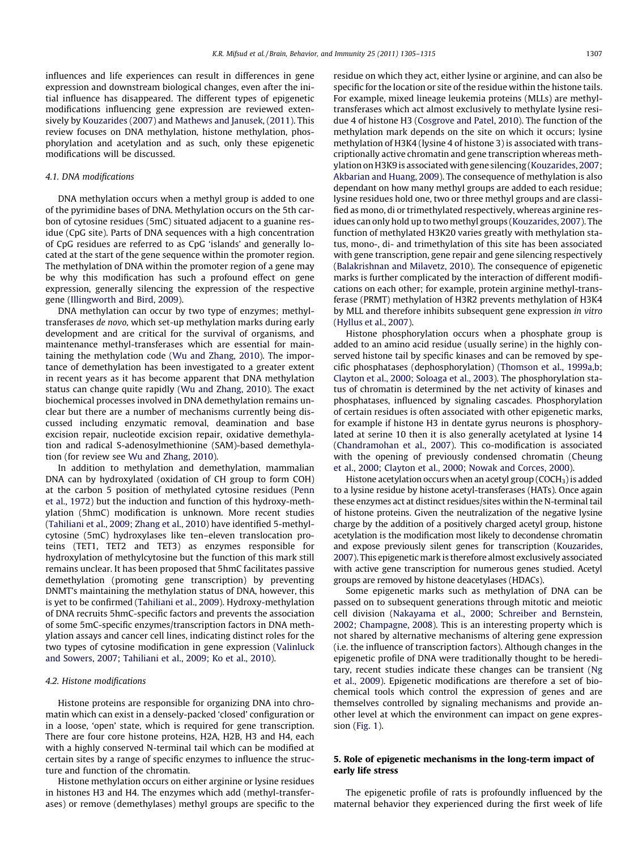influences and life experiences can result in differences in gene expression and downstream biological changes, even after the initial influence has disappeared. The different types of epigenetic modifications influencing gene expression are reviewed extensively by [Kouzarides \(2007\)](#page-8-0) and [Mathews and Janusek, \(2011\)](#page-9-0). This review focuses on DNA methylation, histone methylation, phosphorylation and acetylation and as such, only these epigenetic modifications will be discussed.

## 4.1. DNA modifications

DNA methylation occurs when a methyl group is added to one of the pyrimidine bases of DNA. Methylation occurs on the 5th carbon of cytosine residues (5mC) situated adjacent to a guanine residue (CpG site). Parts of DNA sequences with a high concentration of CpG residues are referred to as CpG 'islands' and generally located at the start of the gene sequence within the promoter region. The methylation of DNA within the promoter region of a gene may be why this modification has such a profound effect on gene expression, generally silencing the expression of the respective gene [\(Illingworth and Bird, 2009\)](#page-8-0).

DNA methylation can occur by two type of enzymes; methyltransferases de novo, which set-up methylation marks during early development and are critical for the survival of organisms, and maintenance methyl-transferases which are essential for maintaining the methylation code [\(Wu and Zhang, 2010](#page-9-0)). The importance of demethylation has been investigated to a greater extent in recent years as it has become apparent that DNA methylation status can change quite rapidly ([Wu and Zhang, 2010\)](#page-9-0). The exact biochemical processes involved in DNA demethylation remains unclear but there are a number of mechanisms currently being discussed including enzymatic removal, deamination and base excision repair, nucleotide excision repair, oxidative demethylation and radical S-adenosylmethionine (SAM)-based demethylation (for review see [Wu and Zhang, 2010](#page-9-0)).

In addition to methylation and demethylation, mammalian DNA can by hydroxylated (oxidation of CH group to form COH) at the carbon 5 position of methylated cytosine residues ([Penn](#page-9-0) [et al., 1972](#page-9-0)) but the induction and function of this hydroxy-methylation (5hmC) modification is unknown. More recent studies ([Tahiliani et al., 2009; Zhang et al., 2010](#page-9-0)) have identified 5-methylcytosine (5mC) hydroxylases like ten–eleven translocation proteins (TET1, TET2 and TET3) as enzymes responsible for hydroxylation of methylcytosine but the function of this mark still remains unclear. It has been proposed that 5hmC facilitates passive demethylation (promoting gene transcription) by preventing DNMT's maintaining the methylation status of DNA, however, this is yet to be confirmed ([Tahiliani et al., 2009\)](#page-9-0). Hydroxy-methylation of DNA recruits 5hmC-specific factors and prevents the association of some 5mC-specific enzymes/transcription factors in DNA methylation assays and cancer cell lines, indicating distinct roles for the two types of cytosine modification in gene expression [\(Valinluck](#page-9-0) [and Sowers, 2007; Tahiliani et al., 2009; Ko et al., 2010\)](#page-9-0).

## 4.2. Histone modifications

Histone proteins are responsible for organizing DNA into chromatin which can exist in a densely-packed 'closed' configuration or in a loose, 'open' state, which is required for gene transcription. There are four core histone proteins, H2A, H2B, H3 and H4, each with a highly conserved N-terminal tail which can be modified at certain sites by a range of specific enzymes to influence the structure and function of the chromatin.

Histone methylation occurs on either arginine or lysine residues in histones H3 and H4. The enzymes which add (methyl-transferases) or remove (demethylases) methyl groups are specific to the residue on which they act, either lysine or arginine, and can also be specific for the location or site of the residue within the histone tails. For example, mixed lineage leukemia proteins (MLLs) are methyltransferases which act almost exclusively to methylate lysine residue 4 of histone H3 [\(Cosgrove and Patel, 2010](#page-8-0)). The function of the methylation mark depends on the site on which it occurs; lysine methylation of H3K4 (lysine 4 of histone 3) is associated with transcriptionally active chromatin and gene transcription whereas methylation on H3K9 is associated with gene silencing ([Kouzarides, 2007;](#page-8-0) [Akbarian and Huang, 2009](#page-8-0)). The consequence of methylation is also dependant on how many methyl groups are added to each residue; lysine residues hold one, two or three methyl groups and are classified as mono, di or trimethylated respectively, whereas arginine residues can only hold up to two methyl groups ([Kouzarides, 2007](#page-8-0)). The function of methylated H3K20 varies greatly with methylation status, mono-, di- and trimethylation of this site has been associated with gene transcription, gene repair and gene silencing respectively ([Balakrishnan and Milavetz, 2010\)](#page-8-0). The consequence of epigenetic marks is further complicated by the interaction of different modifications on each other; for example, protein arginine methyl-transferase (PRMT) methylation of H3R2 prevents methylation of H3K4 by MLL and therefore inhibits subsequent gene expression in vitro ([Hyllus et al., 2007](#page-8-0)).

Histone phosphorylation occurs when a phosphate group is added to an amino acid residue (usually serine) in the highly conserved histone tail by specific kinases and can be removed by specific phosphatases (dephosphorylation) ([Thomson et al., 1999a,b;](#page-9-0) [Clayton et al., 2000; Soloaga et al., 2003\)](#page-9-0). The phosphorylation status of chromatin is determined by the net activity of kinases and phosphatases, influenced by signaling cascades. Phosphorylation of certain residues is often associated with other epigenetic marks, for example if histone H3 in dentate gyrus neurons is phosphorylated at serine 10 then it is also generally acetylated at lysine 14 ([Chandramohan et al., 2007](#page-8-0)). This co-modification is associated with the opening of previously condensed chromatin [\(Cheung](#page-8-0) [et al., 2000; Clayton et al., 2000; Nowak and Corces, 2000\)](#page-8-0).

Histone acetylation occurs when an acetyl group (COCH<sub>3</sub>) is added to a lysine residue by histone acetyl-transferases (HATs). Once again these enzymes act at distinct residues/sites within the N-terminal tail of histone proteins. Given the neutralization of the negative lysine charge by the addition of a positively charged acetyl group, histone acetylation is the modification most likely to decondense chromatin and expose previously silent genes for transcription [\(Kouzarides,](#page-8-0) [2007](#page-8-0)). This epigeneticmark is therefore almost exclusively associated with active gene transcription for numerous genes studied. Acetyl groups are removed by histone deacetylases (HDACs).

Some epigenetic marks such as methylation of DNA can be passed on to subsequent generations through mitotic and meiotic cell division [\(Nakayama et al., 2000; Schreiber and Bernstein,](#page-9-0) [2002; Champagne, 2008](#page-9-0)). This is an interesting property which is not shared by alternative mechanisms of altering gene expression (i.e. the influence of transcription factors). Although changes in the epigenetic profile of DNA were traditionally thought to be hereditary, recent studies indicate these changes can be transient [\(Ng](#page-9-0) [et al., 2009](#page-9-0)). Epigenetic modifications are therefore a set of biochemical tools which control the expression of genes and are themselves controlled by signaling mechanisms and provide another level at which the environment can impact on gene expression ([Fig. 1](#page-3-0)).

## 5. Role of epigenetic mechanisms in the long-term impact of early life stress

The epigenetic profile of rats is profoundly influenced by the maternal behavior they experienced during the first week of life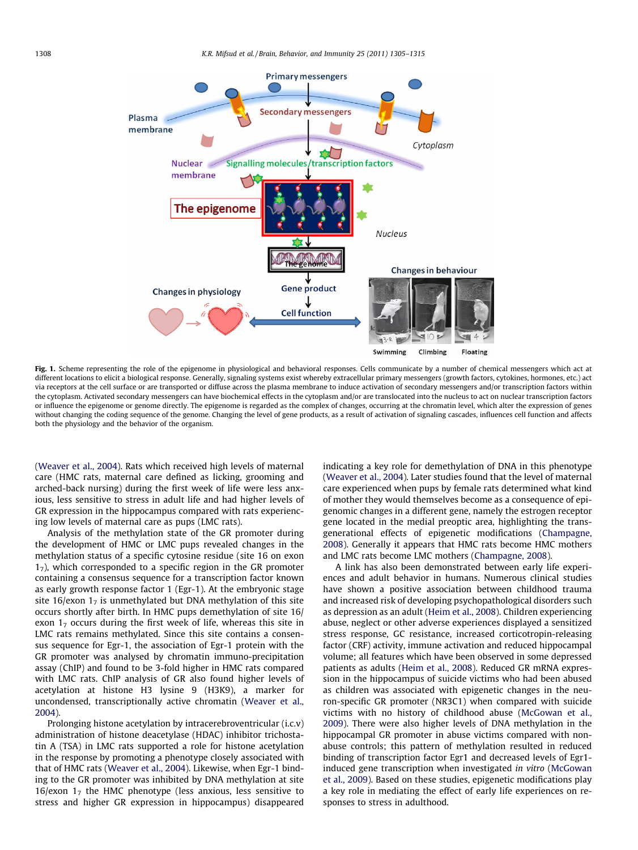<span id="page-3-0"></span>

Fig. 1. Scheme representing the role of the epigenome in physiological and behavioral responses. Cells communicate by a number of chemical messengers which act at different locations to elicit a biological response. Generally, signaling systems exist whereby extracellular primary messengers (growth factors, cytokines, hormones, etc.) act via receptors at the cell surface or are transported or diffuse across the plasma membrane to induce activation of secondary messengers and/or transcription factors within the cytoplasm. Activated secondary messengers can have biochemical effects in the cytoplasm and/or are translocated into the nucleus to act on nuclear transcription factors or influence the epigenome or genome directly. The epigenome is regarded as the complex of changes, occurring at the chromatin level, which alter the expression of genes without changing the coding sequence of the genome. Changing the level of gene products, as a result of activation of signaling cascades, influences cell function and affects both the physiology and the behavior of the organism.

([Weaver et al., 2004\)](#page-9-0). Rats which received high levels of maternal care (HMC rats, maternal care defined as licking, grooming and arched-back nursing) during the first week of life were less anxious, less sensitive to stress in adult life and had higher levels of GR expression in the hippocampus compared with rats experiencing low levels of maternal care as pups (LMC rats).

Analysis of the methylation state of the GR promoter during the development of HMC or LMC pups revealed changes in the methylation status of a specific cytosine residue (site 16 on exon  $1<sub>7</sub>$ ), which corresponded to a specific region in the GR promoter containing a consensus sequence for a transcription factor known as early growth response factor 1 (Egr-1). At the embryonic stage site 16/exon  $1<sub>7</sub>$  is unmethylated but DNA methylation of this site occurs shortly after birth. In HMC pups demethylation of site 16/ exon  $1<sub>7</sub>$  occurs during the first week of life, whereas this site in LMC rats remains methylated. Since this site contains a consensus sequence for Egr-1, the association of Egr-1 protein with the GR promoter was analysed by chromatin immuno-precipitation assay (ChIP) and found to be 3-fold higher in HMC rats compared with LMC rats. ChIP analysis of GR also found higher levels of acetylation at histone H3 lysine 9 (H3K9), a marker for uncondensed, transcriptionally active chromatin [\(Weaver et al.,](#page-9-0) [2004\)](#page-9-0).

Prolonging histone acetylation by intracerebroventricular (i.c.v) administration of histone deacetylase (HDAC) inhibitor trichostatin A (TSA) in LMC rats supported a role for histone acetylation in the response by promoting a phenotype closely associated with that of HMC rats ([Weaver et al., 2004](#page-9-0)). Likewise, when Egr-1 binding to the GR promoter was inhibited by DNA methylation at site 16/exon  $1<sub>7</sub>$  the HMC phenotype (less anxious, less sensitive to stress and higher GR expression in hippocampus) disappeared indicating a key role for demethylation of DNA in this phenotype ([Weaver et al., 2004\)](#page-9-0). Later studies found that the level of maternal care experienced when pups by female rats determined what kind of mother they would themselves become as a consequence of epigenomic changes in a different gene, namely the estrogen receptor gene located in the medial preoptic area, highlighting the transgenerational effects of epigenetic modifications [\(Champagne,](#page-8-0) [2008\)](#page-8-0). Generally it appears that HMC rats become HMC mothers and LMC rats become LMC mothers [\(Champagne, 2008\)](#page-8-0).

A link has also been demonstrated between early life experiences and adult behavior in humans. Numerous clinical studies have shown a positive association between childhood trauma and increased risk of developing psychopathological disorders such as depression as an adult [\(Heim et al., 2008](#page-8-0)). Children experiencing abuse, neglect or other adverse experiences displayed a sensitized stress response, GC resistance, increased corticotropin-releasing factor (CRF) activity, immune activation and reduced hippocampal volume; all features which have been observed in some depressed patients as adults [\(Heim et al., 2008](#page-8-0)). Reduced GR mRNA expression in the hippocampus of suicide victims who had been abused as children was associated with epigenetic changes in the neuron-specific GR promoter (NR3C1) when compared with suicide victims with no history of childhood abuse ([McGowan et al.,](#page-9-0) [2009\)](#page-9-0). There were also higher levels of DNA methylation in the hippocampal GR promoter in abuse victims compared with nonabuse controls; this pattern of methylation resulted in reduced binding of transcription factor Egr1 and decreased levels of Egr1 induced gene transcription when investigated in vitro ([McGowan](#page-9-0) [et al., 2009](#page-9-0)). Based on these studies, epigenetic modifications play a key role in mediating the effect of early life experiences on responses to stress in adulthood.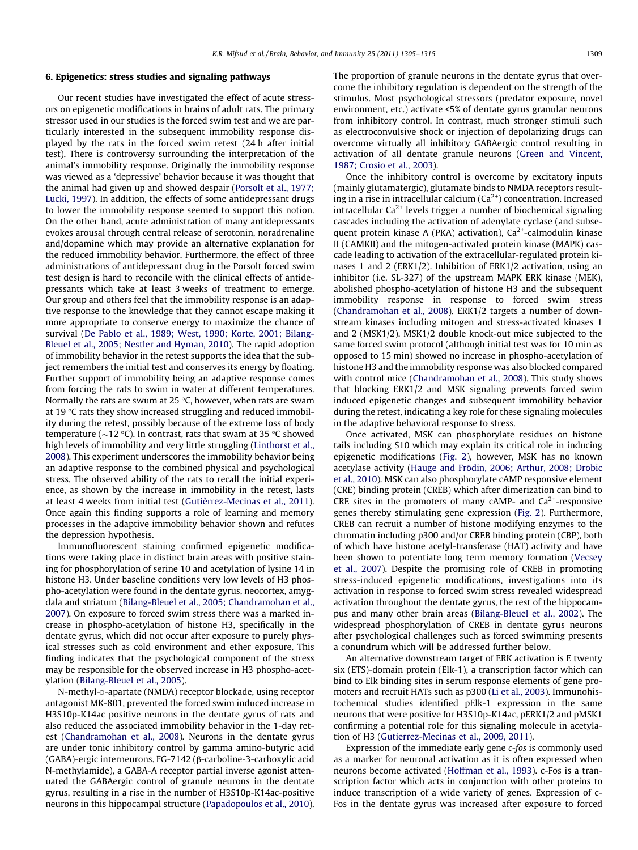## 6. Epigenetics: stress studies and signaling pathways

Our recent studies have investigated the effect of acute stressors on epigenetic modifications in brains of adult rats. The primary stressor used in our studies is the forced swim test and we are particularly interested in the subsequent immobility response displayed by the rats in the forced swim retest (24 h after initial test). There is controversy surrounding the interpretation of the animal's immobility response. Originally the immobility response was viewed as a 'depressive' behavior because it was thought that the animal had given up and showed despair ([Porsolt et al., 1977;](#page-9-0) [Lucki, 1997\)](#page-9-0). In addition, the effects of some antidepressant drugs to lower the immobility response seemed to support this notion. On the other hand, acute administration of many antidepressants evokes arousal through central release of serotonin, noradrenaline and/dopamine which may provide an alternative explanation for the reduced immobility behavior. Furthermore, the effect of three administrations of antidepressant drug in the Porsolt forced swim test design is hard to reconcile with the clinical effects of antidepressants which take at least 3 weeks of treatment to emerge. Our group and others feel that the immobility response is an adaptive response to the knowledge that they cannot escape making it more appropriate to conserve energy to maximize the chance of survival ([De Pablo et al., 1989; West, 1990; Korte, 2001; Bilang-](#page-8-0)[Bleuel et al., 2005; Nestler and Hyman, 2010\)](#page-8-0). The rapid adoption of immobility behavior in the retest supports the idea that the subject remembers the initial test and conserves its energy by floating. Further support of immobility being an adaptive response comes from forcing the rats to swim in water at different temperatures. Normally the rats are swum at 25 $\degree$ C, however, when rats are swam at 19  $\degree$ C rats they show increased struggling and reduced immobility during the retest, possibly because of the extreme loss of body temperature ( $\sim$ 12 °C). In contrast, rats that swam at 35 °C showed high levels of immobility and very little struggling [\(Linthorst et al.,](#page-9-0) [2008](#page-9-0)). This experiment underscores the immobility behavior being an adaptive response to the combined physical and psychological stress. The observed ability of the rats to recall the initial experience, as shown by the increase in immobility in the retest, lasts at least 4 weeks from initial test [\(Gutièrrez-Mecinas et al., 2011\)](#page-8-0). Once again this finding supports a role of learning and memory processes in the adaptive immobility behavior shown and refutes the depression hypothesis.

Immunofluorescent staining confirmed epigenetic modifications were taking place in distinct brain areas with positive staining for phosphorylation of serine 10 and acetylation of lysine 14 in histone H3. Under baseline conditions very low levels of H3 phospho-acetylation were found in the dentate gyrus, neocortex, amygdala and striatum ([Bilang-Bleuel et al., 2005; Chandramohan et al.,](#page-8-0) [2007](#page-8-0)). On exposure to forced swim stress there was a marked increase in phospho-acetylation of histone H3, specifically in the dentate gyrus, which did not occur after exposure to purely physical stresses such as cold environment and ether exposure. This finding indicates that the psychological component of the stress may be responsible for the observed increase in H3 phospho-acetylation ([Bilang-Bleuel et al., 2005](#page-8-0)).

N-methyl-D-apartate (NMDA) receptor blockade, using receptor antagonist MK-801, prevented the forced swim induced increase in H3S10p-K14ac positive neurons in the dentate gyrus of rats and also reduced the associated immobility behavior in the 1-day retest ([Chandramohan et al., 2008](#page-8-0)). Neurons in the dentate gyrus are under tonic inhibitory control by gamma amino-butyric acid (GABA)-ergic interneurons. FG-7142 (β-carboline-3-carboxylic acid N-methylamide), a GABA-A receptor partial inverse agonist attenuated the GABAergic control of granule neurons in the dentate gyrus, resulting in a rise in the number of H3S10p-K14ac-positive neurons in this hippocampal structure ([Papadopoulos et al., 2010\)](#page-9-0). The proportion of granule neurons in the dentate gyrus that overcome the inhibitory regulation is dependent on the strength of the stimulus. Most psychological stressors (predator exposure, novel environment, etc.) activate <5% of dentate gyrus granular neurons from inhibitory control. In contrast, much stronger stimuli such as electroconvulsive shock or injection of depolarizing drugs can overcome virtually all inhibitory GABAergic control resulting in activation of all dentate granule neurons [\(Green and Vincent,](#page-8-0) [1987; Crosio et al., 2003](#page-8-0)).

Once the inhibitory control is overcome by excitatory inputs (mainly glutamatergic), glutamate binds to NMDA receptors resulting in a rise in intracellular calcium  $(Ca^{2+})$  concentration. Increased intracellular  $Ca^{2+}$  levels trigger a number of biochemical signaling cascades including the activation of adenylate cyclase (and subsequent protein kinase A (PKA) activation),  $Ca<sup>2+</sup>$ -calmodulin kinase II (CAMKII) and the mitogen-activated protein kinase (MAPK) cascade leading to activation of the extracellular-regulated protein kinases 1 and 2 (ERK1/2). Inhibition of ERK1/2 activation, using an inhibitor (i.e. SL-327) of the upstream MAPK ERK kinase (MEK), abolished phospho-acetylation of histone H3 and the subsequent immobility response in response to forced swim stress ([Chandramohan et al., 2008\)](#page-8-0). ERK1/2 targets a number of downstream kinases including mitogen and stress-activated kinases 1 and 2 (MSK1/2). MSK1/2 double knock-out mice subjected to the same forced swim protocol (although initial test was for 10 min as opposed to 15 min) showed no increase in phospho-acetylation of histone H3 and the immobility response was also blocked compared with control mice ([Chandramohan et al., 2008\)](#page-8-0). This study shows that blocking ERK1/2 and MSK signaling prevents forced swim induced epigenetic changes and subsequent immobility behavior during the retest, indicating a key role for these signaling molecules in the adaptive behavioral response to stress.

Once activated, MSK can phosphorylate residues on histone tails including S10 which may explain its critical role in inducing epigenetic modifications ([Fig. 2\)](#page-5-0), however, MSK has no known acetylase activity ([Hauge and Frödin, 2006; Arthur, 2008; Drobic](#page-8-0) [et al., 2010](#page-8-0)). MSK can also phosphorylate cAMP responsive element (CRE) binding protein (CREB) which after dimerization can bind to CRE sites in the promoters of many cAMP- and  $Ca^{2+}$ -responsive genes thereby stimulating gene expression ([Fig. 2\)](#page-5-0). Furthermore, CREB can recruit a number of histone modifying enzymes to the chromatin including p300 and/or CREB binding protein (CBP), both of which have histone acetyl-transferase (HAT) activity and have been shown to potentiate long term memory formation ([Vecsey](#page-9-0) [et al., 2007\)](#page-9-0). Despite the promising role of CREB in promoting stress-induced epigenetic modifications, investigations into its activation in response to forced swim stress revealed widespread activation throughout the dentate gyrus, the rest of the hippocampus and many other brain areas [\(Bilang-Bleuel et al., 2002](#page-8-0)). The widespread phosphorylation of CREB in dentate gyrus neurons after psychological challenges such as forced swimming presents a conundrum which will be addressed further below.

An alternative downstream target of ERK activation is E twenty six (ETS)-domain protein (Elk-1), a transcription factor which can bind to Elk binding sites in serum response elements of gene promoters and recruit HATs such as p300 [\(Li et al., 2003\)](#page-8-0). Immunohistochemical studies identified pElk-1 expression in the same neurons that were positive for H3S10p-K14ac, pERK1/2 and pMSK1 confirming a potential role for this signaling molecule in acetylation of H3 ([Gutierrez-Mecinas et al., 2009, 2011\)](#page-8-0).

Expression of the immediate early gene c-fos is commonly used as a marker for neuronal activation as it is often expressed when neurons become activated [\(Hoffman et al., 1993\)](#page-8-0). c-Fos is a transcription factor which acts in conjunction with other proteins to induce transcription of a wide variety of genes. Expression of c-Fos in the dentate gyrus was increased after exposure to forced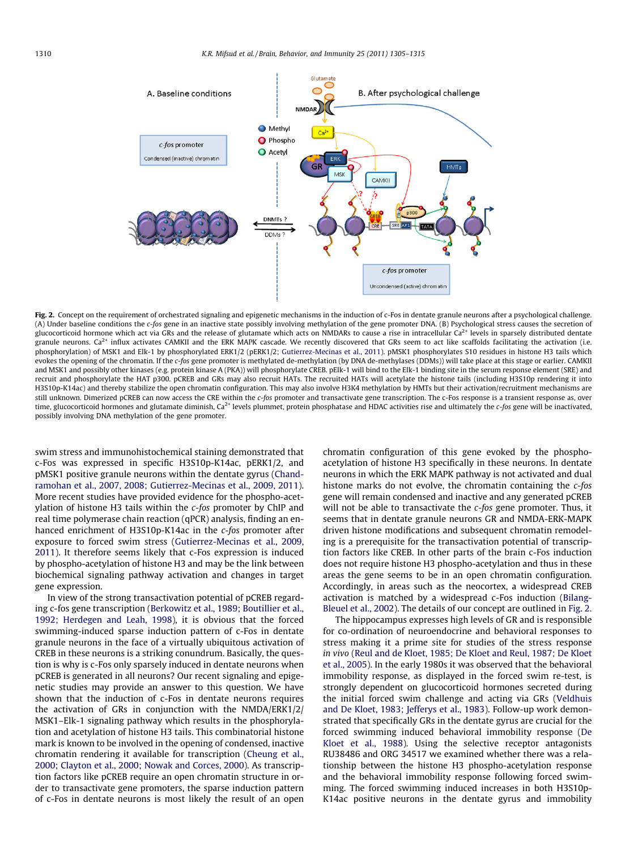<span id="page-5-0"></span>

Fig. 2. Concept on the requirement of orchestrated signaling and epigenetic mechanisms in the induction of c-Fos in dentate granule neurons after a psychological challenge. (A) Under baseline conditions the c-fos gene in an inactive state possibly involving methylation of the gene promoter DNA. (B) Psychological stress causes the secretion of glucocorticoid hormone which act via GRs and the release of glutamate which acts on NMDARs to cause a rise in intracellular  $Ca^{2+}$  levels in sparsely distributed dentate granule neurons.  $Ca^{2+}$  influx activates CAMKII and the ERK MAPK cascade. We recently discovered that GRs seem to act like scaffolds facilitating the activation (i.e. phosphorylation) of MSK1 and Elk-1 by phosphorylated ERK1/2 (pERK1/2; [Gutierrez-Mecinas et al., 2011\)](#page-8-0). pMSK1 phosphorylates S10 residues in histone H3 tails which evokes the opening of the chromatin. If the c-fos gene promoter is methylated de-methylation (by DNA de-methylases (DDMs)) will take place at this stage or earlier. CAMKII and MSK1 and possibly other kinases (e.g. protein kinase A (PKA)) will phosphorylate CREB. pElk-1 will bind to the Elk-1 binding site in the serum response element (SRE) and recruit and phosphorylate the HAT p300. pCREB and GRs may also recruit HATs. The recruited HATs will acetylate the histone tails (including H3S10p rendering it into H3S10p-K14ac) and thereby stabilize the open chromatin configuration. This may also involve H3K4 methylation by HMTs but their activation/recruitment mechanisms are still unknown. Dimerized pCREB can now access the CRE within the c-fos promoter and transactivate gene transcription. The c-Fos response is a transient response as, over time, glucocorticoid hormones and glutamate diminish, Ca<sup>2+</sup> levels plummet, protein phosphatase and HDAC activities rise and ultimately the c-fos gene will be inactivated, possibly involving DNA methylation of the gene promoter.

swim stress and immunohistochemical staining demonstrated that c-Fos was expressed in specific H3S10p-K14ac, pERK1/2, and pMSK1 positive granule neurons within the dentate gyrus ([Chand](#page-8-0)[ramohan et al., 2007, 2008; Gutierrez-Mecinas et al., 2009, 2011\)](#page-8-0). More recent studies have provided evidence for the phospho-acetylation of histone H3 tails within the c-fos promoter by ChIP and real time polymerase chain reaction (qPCR) analysis, finding an enhanced enrichment of H3S10p-K14ac in the c-fos promoter after exposure to forced swim stress [\(Gutierrez-Mecinas et al., 2009,](#page-8-0) [2011\)](#page-8-0). It therefore seems likely that c-Fos expression is induced by phospho-acetylation of histone H3 and may be the link between biochemical signaling pathway activation and changes in target gene expression.

In view of the strong transactivation potential of pCREB regarding c-fos gene transcription ([Berkowitz et al., 1989; Boutillier et al.,](#page-8-0) [1992; Herdegen and Leah, 1998\)](#page-8-0), it is obvious that the forced swimming-induced sparse induction pattern of c-Fos in dentate granule neurons in the face of a virtually ubiquitous activation of CREB in these neurons is a striking conundrum. Basically, the question is why is c-Fos only sparsely induced in dentate neurons when pCREB is generated in all neurons? Our recent signaling and epigenetic studies may provide an answer to this question. We have shown that the induction of c-Fos in dentate neurons requires the activation of GRs in conjunction with the NMDA/ERK1/2/ MSK1–Elk-1 signaling pathway which results in the phosphorylation and acetylation of histone H3 tails. This combinatorial histone mark is known to be involved in the opening of condensed, inactive chromatin rendering it available for transcription ([Cheung et al.,](#page-8-0) [2000; Clayton et al., 2000; Nowak and Corces, 2000\)](#page-8-0). As transcription factors like pCREB require an open chromatin structure in order to transactivate gene promoters, the sparse induction pattern of c-Fos in dentate neurons is most likely the result of an open chromatin configuration of this gene evoked by the phosphoacetylation of histone H3 specifically in these neurons. In dentate neurons in which the ERK MAPK pathway is not activated and dual histone marks do not evolve, the chromatin containing the c-fos gene will remain condensed and inactive and any generated pCREB will not be able to transactivate the  $c$ -fos gene promoter. Thus, it seems that in dentate granule neurons GR and NMDA-ERK-MAPK driven histone modifications and subsequent chromatin remodeling is a prerequisite for the transactivation potential of transcription factors like CREB. In other parts of the brain c-Fos induction does not require histone H3 phospho-acetylation and thus in these areas the gene seems to be in an open chromatin configuration. Accordingly, in areas such as the neocortex, a widespread CREB activation is matched by a widespread c-Fos induction ([Bilang-](#page-8-0)[Bleuel et al., 2002\)](#page-8-0). The details of our concept are outlined in Fig. 2.

The hippocampus expresses high levels of GR and is responsible for co-ordination of neuroendocrine and behavioral responses to stress making it a prime site for studies of the stress response in vivo [\(Reul and de Kloet, 1985; De Kloet and Reul, 1987; De Kloet](#page-9-0) [et al., 2005\)](#page-9-0). In the early 1980s it was observed that the behavioral immobility response, as displayed in the forced swim re-test, is strongly dependent on glucocorticoid hormones secreted during the initial forced swim challenge and acting via GRs ([Veldhuis](#page-9-0) [and De Kloet, 1983; Jefferys et al., 1983\)](#page-9-0). Follow-up work demonstrated that specifically GRs in the dentate gyrus are crucial for the forced swimming induced behavioral immobility response ([De](#page-8-0) [Kloet et al., 1988](#page-8-0)). Using the selective receptor antagonists RU38486 and ORG 34517 we examined whether there was a relationship between the histone H3 phospho-acetylation response and the behavioral immobility response following forced swimming. The forced swimming induced increases in both H3S10p-K14ac positive neurons in the dentate gyrus and immobility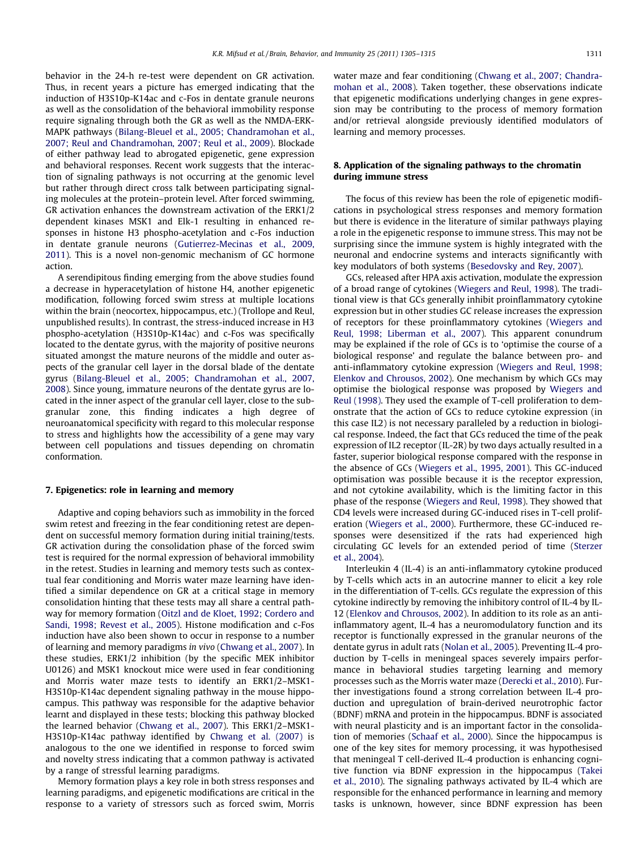behavior in the 24-h re-test were dependent on GR activation. Thus, in recent years a picture has emerged indicating that the induction of H3S10p-K14ac and c-Fos in dentate granule neurons as well as the consolidation of the behavioral immobility response require signaling through both the GR as well as the NMDA-ERK-MAPK pathways ([Bilang-Bleuel et al., 2005; Chandramohan et al.,](#page-8-0) [2007; Reul and Chandramohan, 2007; Reul et al., 2009](#page-8-0)). Blockade of either pathway lead to abrogated epigenetic, gene expression and behavioral responses. Recent work suggests that the interaction of signaling pathways is not occurring at the genomic level but rather through direct cross talk between participating signaling molecules at the protein–protein level. After forced swimming, GR activation enhances the downstream activation of the ERK1/2 dependent kinases MSK1 and Elk-1 resulting in enhanced responses in histone H3 phospho-acetylation and c-Fos induction in dentate granule neurons [\(Gutierrez-Mecinas et al., 2009,](#page-8-0) [2011\)](#page-8-0). This is a novel non-genomic mechanism of GC hormone action.

A serendipitous finding emerging from the above studies found a decrease in hyperacetylation of histone H4, another epigenetic modification, following forced swim stress at multiple locations within the brain (neocortex, hippocampus, etc.) (Trollope and Reul, unpublished results). In contrast, the stress-induced increase in H3 phospho-acetylation (H3S10p-K14ac) and c-Fos was specifically located to the dentate gyrus, with the majority of positive neurons situated amongst the mature neurons of the middle and outer aspects of the granular cell layer in the dorsal blade of the dentate gyrus ([Bilang-Bleuel et al., 2005; Chandramohan et al., 2007,](#page-8-0) [2008](#page-8-0)). Since young, immature neurons of the dentate gyrus are located in the inner aspect of the granular cell layer, close to the subgranular zone, this finding indicates a high degree of neuroanatomical specificity with regard to this molecular response to stress and highlights how the accessibility of a gene may vary between cell populations and tissues depending on chromatin conformation.

## 7. Epigenetics: role in learning and memory

Adaptive and coping behaviors such as immobility in the forced swim retest and freezing in the fear conditioning retest are dependent on successful memory formation during initial training/tests. GR activation during the consolidation phase of the forced swim test is required for the normal expression of behavioral immobility in the retest. Studies in learning and memory tests such as contextual fear conditioning and Morris water maze learning have identified a similar dependence on GR at a critical stage in memory consolidation hinting that these tests may all share a central pathway for memory formation ([Oitzl and de Kloet, 1992; Cordero and](#page-9-0) [Sandi, 1998; Revest et al., 2005\)](#page-9-0). Histone modification and c-Fos induction have also been shown to occur in response to a number of learning and memory paradigms in vivo ([Chwang et al., 2007](#page-8-0)). In these studies, ERK1/2 inhibition (by the specific MEK inhibitor U0126) and MSK1 knockout mice were used in fear conditioning and Morris water maze tests to identify an ERK1/2–MSK1- H3S10p-K14ac dependent signaling pathway in the mouse hippocampus. This pathway was responsible for the adaptive behavior learnt and displayed in these tests; blocking this pathway blocked the learned behavior [\(Chwang et al., 2007](#page-8-0)). This ERK1/2–MSK1- H3S10p-K14ac pathway identified by [Chwang et al. \(2007\)](#page-8-0) is analogous to the one we identified in response to forced swim and novelty stress indicating that a common pathway is activated by a range of stressful learning paradigms.

Memory formation plays a key role in both stress responses and learning paradigms, and epigenetic modifications are critical in the response to a variety of stressors such as forced swim, Morris water maze and fear conditioning ([Chwang et al., 2007; Chandra](#page-8-0)[mohan et al., 2008](#page-8-0)). Taken together, these observations indicate that epigenetic modifications underlying changes in gene expression may be contributing to the process of memory formation and/or retrieval alongside previously identified modulators of learning and memory processes.

## 8. Application of the signaling pathways to the chromatin during immune stress

The focus of this review has been the role of epigenetic modifications in psychological stress responses and memory formation but there is evidence in the literature of similar pathways playing a role in the epigenetic response to immune stress. This may not be surprising since the immune system is highly integrated with the neuronal and endocrine systems and interacts significantly with key modulators of both systems [\(Besedovsky and Rey, 2007\)](#page-8-0).

GCs, released after HPA axis activation, modulate the expression of a broad range of cytokines [\(Wiegers and Reul, 1998\)](#page-9-0). The traditional view is that GCs generally inhibit proinflammatory cytokine expression but in other studies GC release increases the expression of receptors for these proinflammatory cytokines [\(Wiegers and](#page-9-0) [Reul, 1998; Liberman et al., 2007](#page-9-0)). This apparent conundrum may be explained if the role of GCs is to 'optimise the course of a biological response' and regulate the balance between pro- and anti-inflammatory cytokine expression [\(Wiegers and Reul, 1998;](#page-9-0) [Elenkov and Chrousos, 2002](#page-9-0)). One mechanism by which GCs may optimise the biological response was proposed by [Wiegers and](#page-9-0) [Reul \(1998\).](#page-9-0) They used the example of T-cell proliferation to demonstrate that the action of GCs to reduce cytokine expression (in this case IL2) is not necessary paralleled by a reduction in biological response. Indeed, the fact that GCs reduced the time of the peak expression of IL2 receptor (IL-2R) by two days actually resulted in a faster, superior biological response compared with the response in the absence of GCs ([Wiegers et al., 1995, 2001\)](#page-9-0). This GC-induced optimisation was possible because it is the receptor expression, and not cytokine availability, which is the limiting factor in this phase of the response ([Wiegers and Reul, 1998\)](#page-9-0). They showed that CD4 levels were increased during GC-induced rises in T-cell proliferation [\(Wiegers et al., 2000\)](#page-9-0). Furthermore, these GC-induced responses were desensitized if the rats had experienced high circulating GC levels for an extended period of time [\(Sterzer](#page-9-0) [et al., 2004\)](#page-9-0).

Interleukin 4 (IL-4) is an anti-inflammatory cytokine produced by T-cells which acts in an autocrine manner to elicit a key role in the differentiation of T-cells. GCs regulate the expression of this cytokine indirectly by removing the inhibitory control of IL-4 by IL-12 [\(Elenkov and Chrousos, 2002\)](#page-8-0). In addition to its role as an antiinflammatory agent, IL-4 has a neuromodulatory function and its receptor is functionally expressed in the granular neurons of the dentate gyrus in adult rats [\(Nolan et al., 2005](#page-9-0)). Preventing IL-4 production by T-cells in meningeal spaces severely impairs performance in behavioral studies targeting learning and memory processes such as the Morris water maze ([Derecki et al., 2010\)](#page-8-0). Further investigations found a strong correlation between IL-4 production and upregulation of brain-derived neurotrophic factor (BDNF) mRNA and protein in the hippocampus. BDNF is associated with neural plasticity and is an important factor in the consolidation of memories [\(Schaaf et al., 2000](#page-9-0)). Since the hippocampus is one of the key sites for memory processing, it was hypothesised that meningeal T cell-derived IL-4 production is enhancing cognitive function via BDNF expression in the hippocampus [\(Takei](#page-9-0) [et al., 2010\)](#page-9-0). The signaling pathways activated by IL-4 which are responsible for the enhanced performance in learning and memory tasks is unknown, however, since BDNF expression has been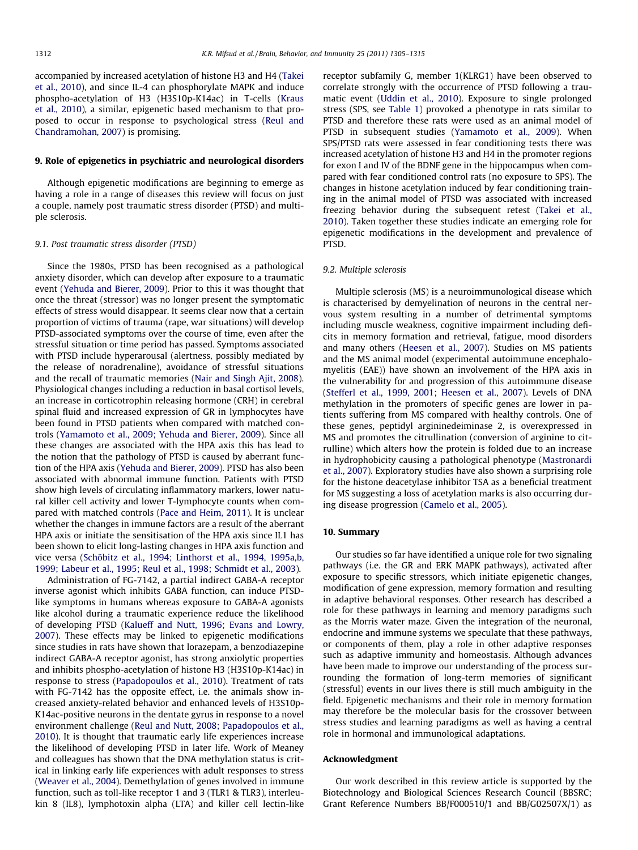accompanied by increased acetylation of histone H3 and H4 ([Takei](#page-9-0) [et al., 2010\)](#page-9-0), and since IL-4 can phosphorylate MAPK and induce phospho-acetylation of H3 (H3S10p-K14ac) in T-cells [\(Kraus](#page-8-0) [et al., 2010](#page-8-0)), a similar, epigenetic based mechanism to that proposed to occur in response to psychological stress ([Reul and](#page-9-0) [Chandramohan, 2007\)](#page-9-0) is promising.

## 9. Role of epigenetics in psychiatric and neurological disorders

Although epigenetic modifications are beginning to emerge as having a role in a range of diseases this review will focus on just a couple, namely post traumatic stress disorder (PTSD) and multiple sclerosis.

## 9.1. Post traumatic stress disorder (PTSD)

Since the 1980s, PTSD has been recognised as a pathological anxiety disorder, which can develop after exposure to a traumatic event [\(Yehuda and Bierer, 2009](#page-10-0)). Prior to this it was thought that once the threat (stressor) was no longer present the symptomatic effects of stress would disappear. It seems clear now that a certain proportion of victims of trauma (rape, war situations) will develop PTSD-associated symptoms over the course of time, even after the stressful situation or time period has passed. Symptoms associated with PTSD include hyperarousal (alertness, possibly mediated by the release of noradrenaline), avoidance of stressful situations and the recall of traumatic memories ([Nair and Singh Ajit, 2008\)](#page-9-0). Physiological changes including a reduction in basal cortisol levels, an increase in corticotrophin releasing hormone (CRH) in cerebral spinal fluid and increased expression of GR in lymphocytes have been found in PTSD patients when compared with matched controls ([Yamamoto et al., 2009; Yehuda and Bierer, 2009\)](#page-9-0). Since all these changes are associated with the HPA axis this has lead to the notion that the pathology of PTSD is caused by aberrant function of the HPA axis [\(Yehuda and Bierer, 2009\)](#page-10-0). PTSD has also been associated with abnormal immune function. Patients with PTSD show high levels of circulating inflammatory markers, lower natural killer cell activity and lower T-lymphocyte counts when compared with matched controls ([Pace and Heim, 2011](#page-9-0)). It is unclear whether the changes in immune factors are a result of the aberrant HPA axis or initiate the sensitisation of the HPA axis since IL1 has been shown to elicit long-lasting changes in HPA axis function and vice versa [\(Schöbitz et al., 1994; Linthorst et al., 1994, 1995a,b,](#page-9-0) [1999; Labeur et al., 1995; Reul et al., 1998; Schmidt et al., 2003](#page-9-0)).

Administration of FG-7142, a partial indirect GABA-A receptor inverse agonist which inhibits GABA function, can induce PTSDlike symptoms in humans whereas exposure to GABA-A agonists like alcohol during a traumatic experience reduce the likelihood of developing PTSD [\(Kalueff and Nutt, 1996; Evans and Lowry,](#page-8-0) [2007\)](#page-8-0). These effects may be linked to epigenetic modifications since studies in rats have shown that lorazepam, a benzodiazepine indirect GABA-A receptor agonist, has strong anxiolytic properties and inhibits phospho-acetylation of histone H3 (H3S10p-K14ac) in response to stress ([Papadopoulos et al., 2010\)](#page-9-0). Treatment of rats with FG-7142 has the opposite effect, i.e. the animals show increased anxiety-related behavior and enhanced levels of H3S10p-K14ac-positive neurons in the dentate gyrus in response to a novel environment challenge ([Reul and Nutt, 2008; Papadopoulos et al.,](#page-9-0) [2010\)](#page-9-0). It is thought that traumatic early life experiences increase the likelihood of developing PTSD in later life. Work of Meaney and colleagues has shown that the DNA methylation status is critical in linking early life experiences with adult responses to stress ([Weaver et al., 2004](#page-9-0)). Demethylation of genes involved in immune function, such as toll-like receptor 1 and 3 (TLR1 & TLR3), interleukin 8 (IL8), lymphotoxin alpha (LTA) and killer cell lectin-like receptor subfamily G, member 1(KLRG1) have been observed to correlate strongly with the occurrence of PTSD following a traumatic event [\(Uddin et al., 2010\)](#page-9-0). Exposure to single prolonged stress (SPS, see [Table 1\)](#page-1-0) provoked a phenotype in rats similar to PTSD and therefore these rats were used as an animal model of PTSD in subsequent studies ([Yamamoto et al., 2009](#page-9-0)). When SPS/PTSD rats were assessed in fear conditioning tests there was increased acetylation of histone H3 and H4 in the promoter regions for exon I and IV of the BDNF gene in the hippocampus when compared with fear conditioned control rats (no exposure to SPS). The changes in histone acetylation induced by fear conditioning training in the animal model of PTSD was associated with increased freezing behavior during the subsequent retest ([Takei et al.,](#page-9-0) [2010\)](#page-9-0). Taken together these studies indicate an emerging role for epigenetic modifications in the development and prevalence of PTSD.

## 9.2. Multiple sclerosis

Multiple sclerosis (MS) is a neuroimmunological disease which is characterised by demyelination of neurons in the central nervous system resulting in a number of detrimental symptoms including muscle weakness, cognitive impairment including deficits in memory formation and retrieval, fatigue, mood disorders and many others ([Heesen et al., 2007](#page-8-0)). Studies on MS patients and the MS animal model (experimental autoimmune encephalomyelitis (EAE)) have shown an involvement of the HPA axis in the vulnerability for and progression of this autoimmune disease ([Stefferl et al., 1999, 2001; Heesen et al., 2007](#page-9-0)). Levels of DNA methylation in the promoters of specific genes are lower in patients suffering from MS compared with healthy controls. One of these genes, peptidyl argininedeiminase 2, is overexpressed in MS and promotes the citrullination (conversion of arginine to citrulline) which alters how the protein is folded due to an increase in hydrophobicity causing a pathological phenotype [\(Mastronardi](#page-9-0) [et al., 2007](#page-9-0)). Exploratory studies have also shown a surprising role for the histone deacetylase inhibitor TSA as a beneficial treatment for MS suggesting a loss of acetylation marks is also occurring during disease progression [\(Camelo et al., 2005\)](#page-8-0).

## 10. Summary

Our studies so far have identified a unique role for two signaling pathways (i.e. the GR and ERK MAPK pathways), activated after exposure to specific stressors, which initiate epigenetic changes, modification of gene expression, memory formation and resulting in adaptive behavioral responses. Other research has described a role for these pathways in learning and memory paradigms such as the Morris water maze. Given the integration of the neuronal, endocrine and immune systems we speculate that these pathways, or components of them, play a role in other adaptive responses such as adaptive immunity and homeostasis. Although advances have been made to improve our understanding of the process surrounding the formation of long-term memories of significant (stressful) events in our lives there is still much ambiguity in the field. Epigenetic mechanisms and their role in memory formation may therefore be the molecular basis for the crossover between stress studies and learning paradigms as well as having a central role in hormonal and immunological adaptations.

## Acknowledgment

Our work described in this review article is supported by the Biotechnology and Biological Sciences Research Council (BBSRC; Grant Reference Numbers BB/F000510/1 and BB/G02507X/1) as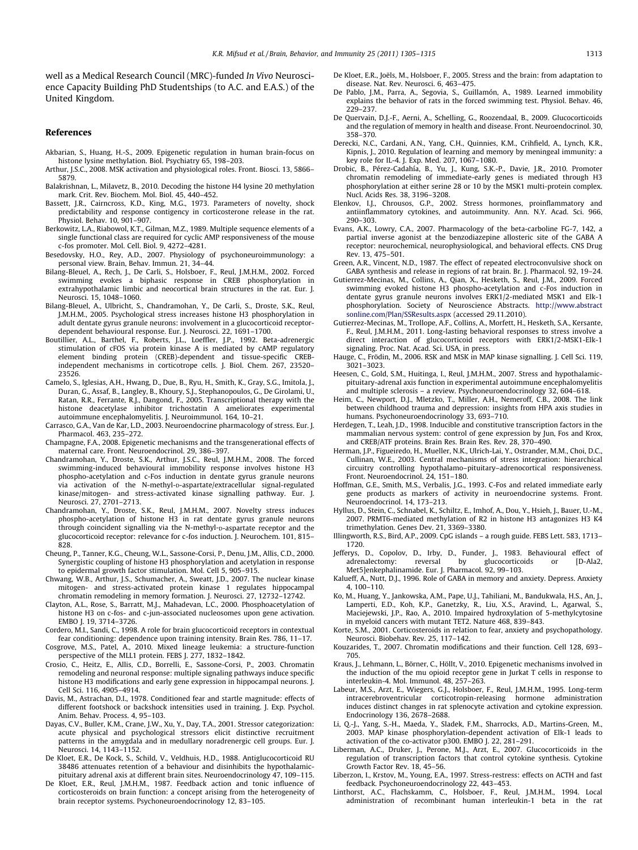<span id="page-8-0"></span>well as a Medical Research Council (MRC)-funded In Vivo Neuroscience Capacity Building PhD Studentships (to A.C. and E.A.S.) of the United Kingdom.

## References

- Akbarian, S., Huang, H.-S., 2009. Epigenetic regulation in human brain-focus on histone lysine methylation. Biol. Psychiatry 65, 198–203.
- Arthur, J.S.C., 2008. MSK activation and physiological roles. Front. Biosci. 13, 5866– 5879.
- Balakrishnan, L., Milavetz, B., 2010. Decoding the histone H4 lysine 20 methylation mark. Crit. Rev. Biochem. Mol. Biol. 45, 440–452.
- Bassett, J.R., Cairncross, K.D., King, M.G., 1973. Parameters of novelty, shock predictability and response contigency in corticosterone release in the rat. Physiol. Behav. 10, 901–907.
- Berkowitz, L.A., Riabowol, K.T., Gilman, M.Z., 1989. Multiple sequence elements of a single functional class are required for cyclic AMP responsiveness of the mouse c-fos promoter. Mol. Cell. Biol. 9, 4272–4281.
- Besedovsky, H.O., Rey, A.D., 2007. Physiology of psychoneuroimmunology: a personal view. Brain, Behav. Immun. 21, 34–44.
- Bilang-Bleuel, A., Rech, J., De Carli, S., Holsboer, F., Reul, J.M.H.M., 2002. Forced swimming evokes a biphasic response in CREB phosphorylation in extrahypothalamic limbic and neocortical brain structures in the rat. Eur. J. Neurosci. 15, 1048–1060.
- Bilang-Bleuel, A., Ulbricht, S., Chandramohan, Y., De Carli, S., Droste, S.K., Reul, J.M.H.M., 2005. Psychological stress increases histone H3 phosphorylation in adult dentate gyrus granule neurons: involvement in a glucocorticoid receptordependent behavioural response. Eur. J. Neurosci. 22, 1691–1700.
- Boutillier, A.L., Barthel, F., Roberts, J.L., Loeffler, J.P., 1992. Beta-adrenergic stimulation of cFOS via protein kinase A is mediated by cAMP regulatory element binding protein (CREB)-dependent and tissue-specific CREBindependent mechanisms in corticotrope cells. J. Biol. Chem. 267, 23520– 23526.
- Camelo, S., Iglesias, A.H., Hwang, D., Due, B., Ryu, H., Smith, K., Gray, S.G., Imitola, J., Duran, G., Assaf, B., Langley, B., Khoury, S.J., Stephanopoulos, G., De Girolami, U., Ratan, R.R., Ferrante, R.J., Dangond, F., 2005. Transcriptional therapy with the histone deacetylase inhibitor trichostatin A ameliorates experimental autoimmune encephalomyelitis. J. Neuroimmunol. 164, 10–21.
- Carrasco, G.A., Van de Kar, L.D., 2003. Neuroendocrine pharmacology of stress. Eur. J. Pharmacol. 463, 235–272.
- Champagne, F.A., 2008. Epigenetic mechanisms and the transgenerational effects of maternal care. Front. Neuroendocrinol. 29, 386–397.
- Chandramohan, Y., Droste, S.K., Arthur, J.S.C., Reul, J.M.H.M., 2008. The forced swimming-induced behavioural immobility response involves histone H3 phospho-acetylation and c-Fos induction in dentate gyrus granule neurons via activation of the N-methyl-D-aspartate/extracellular signal-regulated kinase/mitogen- and stress-activated kinase signalling pathway. Eur. J. Neurosci. 27, 2701–2713.
- Chandramohan, Y., Droste, S.K., Reul, J.M.H.M., 2007. Novelty stress induces phospho-acetylation of histone H3 in rat dentate gyrus granule neurons through coincident signalling via the N-methyl-D-aspartate receptor and the glucocorticoid receptor: relevance for c-fos induction. J. Neurochem. 101, 815– 828.
- Cheung, P., Tanner, K.G., Cheung, W.L., Sassone-Corsi, P., Denu, J.M., Allis, C.D., 2000. Synergistic coupling of histone H3 phosphorylation and acetylation in response to epidermal growth factor stimulation. Mol. Cell 5, 905–915.
- Chwang, W.B., Arthur, J.S., Schumacher, A., Sweatt, J.D., 2007. The nuclear kinase mitogen- and stress-activated protein kinase 1 regulates hippocampal chromatin remodeling in memory formation. J. Neurosci. 27, 12732–12742.
- Clayton, A.L., Rose, S., Barratt, M.J., Mahadevan, L.C., 2000. Phosphoacetylation of histone H3 on c-fos- and c-jun-associated nucleosomes upon gene activation. EMBO J. 19, 3714–3726.
- Cordero, M.I., Sandi, C., 1998. A role for brain glucocorticoid receptors in contextual fear conditioning: dependence upon training intensity. Brain Res. 786, 11–17.
- Cosgrove, M.S., Patel, A., 2010. Mixed lineage leukemia: a structure-function perspective of the MLL1 protein. FEBS J. 277, 1832–1842.
- Crosio, C., Heitz, E., Allis, C.D., Borrelli, E., Sassone-Corsi, P., 2003. Chromatin remodeling and neuronal response: multiple signaling pathways induce specific histone H3 modifications and early gene expression in hippocampal neurons. J. Cell Sci. 116, 4905–4914.
- Davis, M., Astrachan, D.I., 1978. Conditioned fear and startle magnitude: effects of different footshock or backshock intensities used in training. J. Exp. Psychol. Anim. Behav. Process. 4, 95–103.
- Dayas, C.V., Buller, K.M., Crane, J.W., Xu, Y., Day, T.A., 2001. Stressor categorization: acute physical and psychological stressors elicit distinctive recruitment patterns in the amygdala and in medullary noradrenergic cell groups. Eur. J. Neurosci. 14, 1143–1152.
- De Kloet, E.R., De Kock, S., Schild, V., Veldhuis, H.D., 1988. Antiglucocorticoid RU 38486 attenuates retention of a behaviour and disinhibits the hypothalamicpituitary adrenal axis at different brain sites. Neuroendocrinology 47, 109–115.
- De Kloet, E.R., Reul, J.M.H.M., 1987. Feedback action and tonic influence of corticosteroids on brain function: a concept arising from the heterogeneity of brain receptor systems. Psychoneuroendocrinology 12, 83–105.
- De Kloet, E.R., Joëls, M., Holsboer, F., 2005. Stress and the brain: from adaptation to disease. Nat. Rev. Neurosci. 6, 463–475.
- De Pablo, J.M., Parra, A., Segovia, S., Guillamón, A., 1989. Learned immobility explains the behavior of rats in the forced swimming test. Physiol. Behav. 46, 229–237.
- De Quervain, D.J.-F., Aerni, A., Schelling, G., Roozendaal, B., 2009. Glucocorticoids and the regulation of memory in health and disease. Front. Neuroendocrinol. 30, 358–370.
- Derecki, N.C., Cardani, A.N., Yang, C.H., Quinnies, K.M., Crihfield, A., Lynch, K.R., Kipnis, J., 2010. Regulation of learning and memory by meningeal immunity: a key role for IL-4. J. Exp. Med. 207, 1067–1080.
- Drobic, B., Pérez-Cadahía, B., Yu, J., Kung, S.K.-P., Davie, J.R., 2010. Promoter chromatin remodeling of immediate-early genes is mediated through H3 phosphorylation at either serine 28 or 10 by the MSK1 multi-protein complex. Nucl. Acids Res. 38, 3196–3208.
- Elenkov, I.J., Chrousos, G.P., 2002. Stress hormones, proinflammatory and antiinflammatory cytokines, and autoimmunity. Ann. N.Y. Acad. Sci. 966, 290–303.
- Evans, A.K., Lowry, C.A., 2007. Pharmacology of the beta-carboline FG-7, 142, a partial inverse agonist at the benzodiazepine allosteric site of the GABA A receptor: neurochemical, neurophysiological, and behavioral effects. CNS Drug Rev. 13, 475–501.
- Green, A.R., Vincent, N.D., 1987. The effect of repeated electroconvulsive shock on GABA synthesis and release in regions of rat brain. Br. J. Pharmacol. 92, 19–24.
- Gutierrez-Mecinas, M., Collins, A., Qian, X., Hesketh, S., Reul, J.M., 2009. Forced swimming evoked histone H3 phospho-acetylation and c-Fos induction in dentate gyrus granule neurons involves ERK1/2-mediated MSK1 and Elk-1 phosphorylation. Society of Neuroscience Abstracts. [http://www.abstract](http://www.abstractsonline.com/Plan/SSResults.aspx) [sonline.com/Plan/SSResults.aspx](http://www.abstractsonline.com/Plan/SSResults.aspx) (accessed 29.11.2010).
- Gutierrez-Mecinas, M., Trollope, A.F., Collins, A., Morfett, H., Hesketh, S.A., Kersante, F., Reul, J.M.H.M., 2011. Long-lasting behavioral responses to stress involve a direct interaction of glucocorticoid receptors with ERK1/2-MSK1-Elk-1 signaling. Proc. Nat. Acad. Sci. USA, in press.
- Hauge, C., Frödin, M., 2006. RSK and MSK in MAP kinase signalling. J. Cell Sci. 119, 3021–3023.
- Heesen, C., Gold, S.M., Huitinga, I., Reul, J.M.H.M., 2007. Stress and hypothalamicpituitary-adrenal axis function in experimental autoimmune encephalomyelitis and multiple sclerosis – a review. Psychoneuroendocrinology 32, 604–618.
- Heim, C., Newport, D.J., Mletzko, T., Miller, A.H., Nemeroff, C.B., 2008. The link between childhood trauma and depression: insights from HPA axis studies in humans. Psychoneuroendocrinology 33, 693–710.
- Herdegen, T., Leah, J.D., 1998. Inducible and constitutive transcription factors in the mammalian nervous system: control of gene expression by Jun, Fos and Krox, and CREB/ATF proteins. Brain Res. Brain Res. Rev. 28, 370–490.
- Herman, J.P., Figueiredo, H., Mueller, N.K., Ulrich-Lai, Y., Ostrander, M.M., Choi, D.C., Cullinan, W.E., 2003. Central mechanisms of stress integration: hierarchical circuitry controlling hypothalamo–pituitary–adrenocortical responsiveness. Front. Neuroendocrinol. 24, 151–180.
- Hoffman, G.E., Smith, M.S., Verbalis, J.G., 1993. C-Fos and related immediate early gene products as markers of activity in neuroendocrine systems. Front. Neuroendocrinol. 14, 173–213.
- Hyllus, D., Stein, C., Schnabel, K., Schiltz, E., Imhof, A., Dou, Y., Hsieh, J., Bauer, U.-M., 2007. PRMT6-mediated methylation of R2 in histone H3 antagonizes H3 K4 trimethylation. Genes Dev. 21, 3369–3380.
- Illingworth, R.S., Bird, A.P., 2009. CpG islands a rough guide. FEBS Lett. 583, 1713– 1720.
- Jefferys, D., Copolov, D., Irby, D., Funder, J., 1983. Behavioural effect of adrenalectomy: reversal by glucocorticoids or [D-Ala2, adrenalectomy: reversal by glucocorticoids or [D-Ala2, Met5]enkephalinamide. Eur. J. Pharmacol. 92, 99–103.
- Kalueff, A., Nutt, D.J., 1996. Role of GABA in memory and anxiety. Depress. Anxiety 4, 100–110.
- Ko, M., Huang, Y., Jankowska, A.M., Pape, U.J., Tahiliani, M., Bandukwala, H.S., An, J., Lamperti, E.D., Koh, K.P., Ganetzky, R., Liu, X.S., Aravind, L., Agarwal, S., Maciejewski, J.P., Rao, A., 2010. Impaired hydroxylation of 5-methylcytosine in myeloid cancers with mutant TET2. Nature 468, 839–843.
- Korte, S.M., 2001. Corticosteroids in relation to fear, anxiety and psychopathology. Neurosci. Biobehav. Rev. 25, 117–142.
- Kouzarides, T., 2007. Chromatin modifications and their function. Cell 128, 693– 705.
- Kraus, J., Lehmann, L., Börner, C., Höllt, V., 2010. Epigenetic mechanisms involved in the induction of the mu opioid receptor gene in Jurkat T cells in response to interleukin-4. Mol. Immunol. 48, 257–263.
- Labeur, M.S., Arzt, E., Wiegers, G.J., Holsboer, F., Reul, J.M.H.M., 1995. Long-term intracerebroventricular corticotropin-releasing hormone administration induces distinct changes in rat splenocyte activation and cytokine expression. Endocrinology 136, 2678–2688.
- Li, Q.-J., Yang, S.-H., Maeda, Y., Sladek, F.M., Sharrocks, A.D., Martins-Green, M., 2003. MAP kinase phosphorylation-dependent activation of Elk-1 leads to activation of the co-activator p300. EMBO J. 22, 281–291.
- Liberman, A.C., Druker, J., Perone, M.J., Arzt, E., 2007. Glucocorticoids in the regulation of transcription factors that control cytokine synthesis. Cytokine Growth Factor Rev. 18, 45–56.
- Liberzon, I., Krstov, M., Young, E.A., 1997. Stress-restress: effects on ACTH and fast feedback. Psychoneuroendocrinology 22, 443–453.
- Linthorst, A.C., Flachskamm, C., Holsboer, F., Reul, J.M.H.M., 1994. Local administration of recombinant human interleukin-1 beta in the rat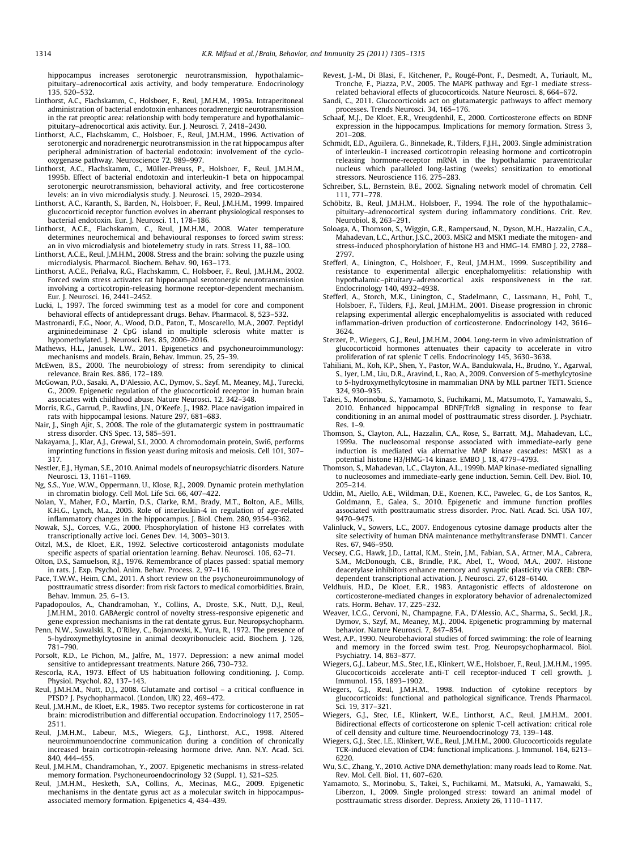<span id="page-9-0"></span>hippocampus increases serotonergic neurotransmission, hypothalamic– pituitary–adrenocortical axis activity, and body temperature. Endocrinology 135, 520–532.

- Linthorst, A.C., Flachskamm, C., Holsboer, F., Reul, J.M.H.M., 1995a. Intraperitoneal administration of bacterial endotoxin enhances noradrenergic neurotransmission in the rat preoptic area: relationship with body temperature and hypothalamic– pituitary–adrenocortical axis activity. Eur. J. Neurosci. 7, 2418–2430.
- Linthorst, A.C., Flachskamm, C., Holsboer, F., Reul, J.M.H.M., 1996. Activation of serotonergic and noradrenergic neurotransmission in the rat hippocampus after peripheral administration of bacterial endotoxin: involvement of the cyclooxygenase pathway. Neuroscience 72, 989–997.
- Linthorst, A.C., Flachskamm, C., Müller-Preuss, P., Holsboer, F., Reul, J.M.H.M., 1995b. Effect of bacterial endotoxin and interleukin-1 beta on hippocampal serotonergic neurotransmission, behavioral activity, and free corticosterone levels: an in vivo microdialysis study. J. Neurosci. 15, 2920–2934.
- Linthorst, A.C., Karanth, S., Barden, N., Holsboer, F., Reul, J.M.H.M., 1999. Impaired glucocorticoid receptor function evolves in aberrant physiological responses to bacterial endotoxin. Eur. J. Neurosci. 11, 178–186.
- Linthorst, A.C.E., Flachskamm, C., Reul, J.M.H.M., 2008. Water temperature determines neurochemical and behavioural responses to forced swim stress: an in vivo microdialysis and biotelemetry study in rats. Stress 11, 88–100.
- Linthorst, A.C.E., Reul, J.M.H.M., 2008. Stress and the brain: solving the puzzle using microdialysis. Pharmacol. Biochem. Behav. 90, 163–173.
- Linthorst, A.C.E., Peñalva, R.G., Flachskamm, C., Holsboer, F., Reul, J.M.H.M., 2002. Forced swim stress activates rat hippocampal serotonergic neurotransmission involving a corticotropin-releasing hormone receptor-dependent mechanism. Eur. J. Neurosci. 16, 2441–2452.
- Lucki, I., 1997. The forced swimming test as a model for core and component behavioral effects of antidepressant drugs. Behav. Pharmacol. 8, 523–532.
- Mastronardi, F.G., Noor, A., Wood, D.D., Paton, T., Moscarello, M.A., 2007. Peptidyl argininedeiminase 2 CpG island in multiple sclerosis white matter is hypomethylated. J. Neurosci. Res. 85, 2006–2016.
- Mathews, H.L., Janusek, L.W., 2011. Epigenetics and psychoneuroimmunology: mechanisms and models. Brain, Behav. Immun. 25, 25–39.
- McEwen, B.S., 2000. The neurobiology of stress: from serendipity to clinical relevance. Brain Res. 886, 172–189.
- McGowan, P.O., Sasaki, A., D'Alessio, A.C., Dymov, S., Szyf, M., Meaney, M.J., Turecki, G., 2009. Epigenetic regulation of the glucocorticoid receptor in human brain associates with childhood abuse. Nature Neurosci. 12, 342–348.
- Morris, R.G., Garrud, P., Rawlins, J.N., O'Keefe, J., 1982. Place navigation impaired in rats with hippocampal lesions. Nature 297, 681–683.
- Nair, J., Singh Ajit, S., 2008. The role of the glutamatergic system in posttraumatic stress disorder. CNS Spec. 13, 585–591.
- Nakayama, J., Klar, A.J., Grewal, S.I., 2000. A chromodomain protein, Swi6, performs imprinting functions in fission yeast during mitosis and meiosis. Cell 101, 307– 317.
- Nestler, E.J., Hyman, S.E., 2010. Animal models of neuropsychiatric disorders. Nature Neurosci. 13, 1161–1169.
- Ng, S.S., Yue, W.W., Oppermann, U., Klose, R.J., 2009. Dynamic protein methylation in chromatin biology. Cell Mol. Life Sci. 66, 407–422.
- Nolan, Y., Maher, F.O., Martin, D.S., Clarke, R.M., Brady, M.T., Bolton, A.E., Mills, K.H.G., Lynch, M.a., 2005. Role of interleukin-4 in regulation of age-related inflammatory changes in the hippocampus. J. Biol. Chem. 280, 9354–9362.
- Nowak, S.J., Corces, V.G., 2000. Phosphorylation of histone H3 correlates with transcriptionally active loci. Genes Dev. 14, 3003–3013.
- Oitzl, M.S., de Kloet, E.R., 1992. Selective corticosteroid antagonists modulate specific aspects of spatial orientation learning. Behav. Neurosci. 106, 62–71.
- Olton, D.S., Samuelson, R.J., 1976. Remembrance of places passed: spatial memory in rats. I. Exp. Psychol. Anim. Behav. Process. 2, 97-116.
- Pace, T.W.W., Heim, C.M., 2011. A short review on the psychoneuroimmunology of posttraumatic stress disorder: from risk factors to medical comorbidities. Brain, Behav. Immun. 25, 6–13.
- Papadopoulos, A., Chandramohan, Y., Collins, A., Droste, S.K., Nutt, D.J., Reul, J.M.H.M., 2010. GABAergic control of novelty stress-responsive epigenetic and gene expression mechanisms in the rat dentate gyrus. Eur. Neuropsychopharm.
- Penn, N.W., Suwalski, R., O'Riley, C., Bojanowski, K., Yura, R., 1972. The presence of 5-hydroxymethylcytosine in animal deoxyribonucleic acid. Biochem. J. 126, 781–790.
- Porsolt, R.D., Le Pichon, M., Jalfre, M., 1977. Depression: a new animal model sensitive to antidepressant treatments. Nature 266, 730–732.
- Rescorla, R.A., 1973. Effect of US habituation following conditioning. J. Comp. Physiol. Psychol. 82, 137–143.
- Reul, J.M.H.M., Nutt, D.J., 2008. Glutamate and cortisol a critical confluence in PTSD? J. Psychopharmacol. (London, UK) 22, 469–472.
- Reul, J.M.H.M., de Kloet, E.R., 1985. Two receptor systems for corticosterone in rat brain: microdistribution and differential occupation. Endocrinology 117, 2505– 2511.
- Reul, J.M.H.M., Labeur, M.S., Wiegers, G.J., Linthorst, A.C., 1998. Altered neuroimmunoendocrine communication during a condition of chronically increased brain corticotropin-releasing hormone drive. Ann. N.Y. Acad. Sci. 840, 444–455.
- Reul, J.M.H.M., Chandramohan, Y., 2007. Epigenetic mechanisms in stress-related memory formation. Psychoneuroendocrinology 32 (Suppl. 1), S21–S25.
- Reul, J.M.H.M., Hesketh, S.A., Collins, A., Mecinas, M.G., 2009. Epigenetic mechanisms in the dentate gyrus act as a molecular switch in hippocampusassociated memory formation. Epigenetics 4, 434–439.
- Revest, J.-M., Di Blasi, F., Kitchener, P., Rougé-Pont, F., Desmedt, A., Turiault, M., Tronche, F., Piazza, P.V., 2005. The MAPK pathway and Egr-1 mediate stressrelated behavioral effects of glucocorticoids. Nature Neurosci. 8, 664–672.
- Sandi, C., 2011. Glucocorticoids act on glutamatergic pathways to affect memory processes. Trends Neurosci. 34, 165–176.
- Schaaf, M.J., De Kloet, E.R., Vreugdenhil, E., 2000. Corticosterone effects on BDNF expression in the hippocampus. Implications for memory formation. Stress 3, 201–208.
- Schmidt, E.D., Aguilera, G., Binnekade, R., Tilders, F.J.H., 2003. Single administration of interleukin-1 increased corticotropin releasing hormone and corticotropin releasing hormone-receptor mRNA in the hypothalamic paraventricular nucleus which paralleled long-lasting (weeks) sensitization to emotional stressors. Neuroscience 116, 275–283.
- Schreiber, S.L., Bernstein, B.E., 2002. Signaling network model of chromatin. Cell 111, 771–778.
- Schöbitz, B., Reul, J.M.H.M., Holsboer, F., 1994. The role of the hypothalamicpituitary–adrenocortical system during inflammatory conditions. Crit. Rev. Neurobiol. 8, 263–291.
- Soloaga, A., Thomson, S., Wiggin, G.R., Rampersaud, N., Dyson, M.H., Hazzalin, C.A., Mahadevan, L.C., Arthur, J.S.C., 2003. MSK2 and MSK1 mediate the mitogen- and stress-induced phosphorylation of histone H3 and HMG-14. EMBO J. 22, 2788– 2797.
- Stefferl, A., Linington, C., Holsboer, F., Reul, J.M.H.M., 1999. Susceptibility and resistance to experimental allergic encephalomyelitis: relationship with hypothalamic–pituitary–adrenocortical axis responsiveness in the rat. Endocrinology 140, 4932–4938.
- Stefferl, A., Storch, M.K., Linington, C., Stadelmann, C., Lassmann, H., Pohl, T., Holsboer, F., Tilders, F.J., Reul, J.M.H.M., 2001. Disease progression in chronic relapsing experimental allergic encephalomyelitis is associated with reduced inflammation-driven production of corticosterone. Endocrinology 142, 3616– 3624.
- Sterzer, P., Wiegers, G.J., Reul, J.M.H.M., 2004. Long-term in vivo administration of glucocorticoid hormones attenuates their capacity to accelerate in vitro proliferation of rat splenic T cells. Endocrinology 145, 3630–3638.
- Tahiliani, M., Koh, K.P., Shen, Y., Pastor, W.A., Bandukwala, H., Brudno, Y., Agarwal, S., Iyer, L.M., Liu, D.R., Aravind, L., Rao, A., 2009. Conversion of 5-methylcytosine to 5-hydroxymethylcytosine in mammalian DNA by MLL partner TET1. Science 324, 930–935.
- Takei, S., Morinobu, S., Yamamoto, S., Fuchikami, M., Matsumoto, T., Yamawaki, S., 2010. Enhanced hippocampal BDNF/TrkB signaling in response to fear conditioning in an animal model of posttraumatic stress disorder. J. Psychiatr. Res. 1–9.
- Thomson, S., Clayton, A.L., Hazzalin, C.A., Rose, S., Barratt, M.J., Mahadevan, L.C., 1999a. The nucleosomal response associated with immediate-early gene induction is mediated via alternative MAP kinase cascades: MSK1 as a potential histone H3/HMG-14 kinase. EMBO J. 18, 4779–4793.
- Thomson, S., Mahadevan, L.C., Clayton, A.L., 1999b. MAP kinase-mediated signalling to nucleosomes and immediate-early gene induction. Semin. Cell. Dev. Biol. 10, 205–214.
- Uddin, M., Aiello, A.E., Wildman, D.E., Koenen, K.C., Pawelec, G., de Los Santos, R., Goldmann, E., Galea, S., 2010. Epigenetic and immune function profiles associated with posttraumatic stress disorder. Proc. Natl. Acad. Sci. USA 107, 9470–9475.
- Valinluck, V., Sowers, L.C., 2007. Endogenous cytosine damage products alter the site selectivity of human DNA maintenance methyltransferase DNMT1. Cancer Res. 67, 946–950.
- Vecsey, C.G., Hawk, J.D., Lattal, K.M., Stein, J.M., Fabian, S.A., Attner, M.A., Cabrera, S.M., McDonough, C.B., Brindle, P.K., Abel, T., Wood, M.A., 2007. Histone deacetylase inhibitors enhance memory and synaptic plasticity via CREB: CBPdependent transcriptional activation. J. Neurosci. 27, 6128–6140.
- Veldhuis, H.D., De Kloet, E.R., 1983. Antagonistic effects of aldosterone on corticosterone-mediated changes in exploratory behavior of adrenalectomized rats. Horm. Behav. 17, 225–232.
- Weaver, I.C.G., Cervoni, N., Champagne, F.A., D'Alessio, A.C., Sharma, S., Seckl, J.R. Dymov, S., Szyf, M., Meaney, M.J., 2004. Epigenetic programming by maternal behavior. Nature Neurosci. 7, 847–854.
- West, A.P., 1990. Neurobehavioral studies of forced swimming: the role of learning and memory in the forced swim test. Prog. Neuropsychopharmacol. Biol. Psychiatry. 14, 863–877.
- Wiegers, G.J., Labeur, M.S., Stec, I.E., Klinkert, W.E., Holsboer, F., Reul, J.M.H.M., 1995. Glucocorticoids accelerate anti-T cell receptor-induced T cell growth. J. Immunol. 155, 1893–1902.
- Wiegers, G.J., Reul, J.M.H.M., 1998. Induction of cytokine receptors by glucocorticoids: functional and pathological significance. Trends Pharmacol. Sci. 19, 317–321.
- Wiegers, G.J., Stec, I.E., Klinkert, W.E., Linthorst, A.C., Reul, J.M.H.M., 2001. Bidirectional effects of corticosterone on splenic T-cell activation: critical role of cell density and culture time. Neuroendocrinology 73, 139–148.
- Wiegers, G.J., Stec, I.E., Klinkert, W.E., Reul, J.M.H.M., 2000. Glucocorticoids regulate TCR-induced elevation of CD4: functional implications. J. Immunol. 164, 6213– 6220.
- Wu, S.C., Zhang, Y., 2010. Active DNA demethylation: many roads lead to Rome. Nat. Rev. Mol. Cell. Biol. 11, 607–620.
- Yamamoto, S., Morinobu, S., Takei, S., Fuchikami, M., Matsuki, A., Yamawaki, S., Liberzon, I., 2009. Single prolonged stress: toward an animal model of posttraumatic stress disorder. Depress. Anxiety 26, 1110–1117.